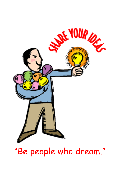

# "Be people who dream."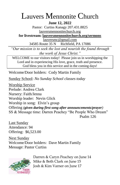# Lauvers Mennonite Church

**June 12, 2022**

Pastor: Curtiss Kanagy 207.431.8825 [lauversmennonitechurch.org](http://www.lauversmennonitechurch.org/)

**for livestream: lauversmennonitechurch.org/sermons**

[lauversmc@gmail.com](mailto:lauversmc@gmail.com)

34585 Route 35 N Richfield, PA 17086

*"Our mission is to seek the lost and nourish the found through the work of Jesus Christ."*

WELCOME to our visitors today! Please join us in worshipping the Lord and in experiencing His love, grace, truth and presence. God bless you in this service and in the coming days!

Welcome/Door holders: Cody Martin Family

Sunday School: *No Sunday School classes today*

Worship Service Prelude: Andrea Clark Nursery: Faith/Jenna Worship leader: Nevin Glick Worship in song: Elvin's group Offering *(given during first song after announcements/prayer)* SS & Message time: Darren Peachey "Be People Who Dream" Psalm 126

Last Sunday Attendance: 94 Offering: \$6,523.00

Next Sunday Welcome/Door holders: Dave Martin Family Message: Pastor Curtiss



Darren & Caryn Peachey on June 14 Mike & Beth Clark on June 15 Josh & Kim Varner on June 17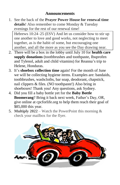#### **Announcements**

- 1. See the back of the **Prayer Power House for renewal time details**! Also remember to come Monday & Tuesday evenings for the rest of our renewal time! Hebrews 10:24–25 (ESV) And let us consider how to stir up one another to love and good works, not neglecting to meet together, as is the habit of some, but encouraging one another, and all the more as you see the Day drawing near.
- 2. There will be a box in the lobby until July 10 for **health care supply donations** (toothbrushes and toothpaste, Ibuprofen and Tylenol, adult and child vitamins) for Reanna's trip to Helene, Honduras.
- 3. It's **shoebox collection time** again! For the month of June we will be collecting hygiene items. Examples are: bandaids, toothbrushes, washcloths, bar soap, deodorant, chapstick, nail clippers & files. (NO toothpaste!) Also bring in shoeboxes! Thank you! Any questions, ask Sydney.
- 4. Did you fill a baby bottle yet for the **Baby Bottle Boomerang**? Bring it back next week, Father's Day, OR, give online at cpcforlife.org to help them reach their goal of \$85,000 this year.
- 5. **Multiply 2022** Watch the PowerPoint this morning  $\&$ check your mailbox for the flyer.

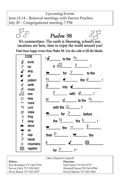Upcoming Events

Psalm 98

June 12-14 – Renewal meetings with Darren Peachey July 20 – Congregational meeting, 7 PM



Our Church Council **Elders: Deacons:** Eric Brubaker 717-363-7014 Neil Glick 717-513-2717 Nevin Glick 717-320-2612 Wendell Horst 570-541-8784 Elvin Ranck 717-363-1077 David Martin 717-363-7081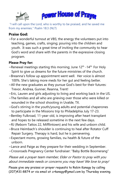



"I will call upon the Lord, who is worthy to be praised, and he saved me from my enemies." Psalm 18:3 (NLT)

## **Praise God:**

 $\sim$  For a wonderful turnout at VBS; the energy the volunteers put into teaching, games, crafts, singing; pouring into the children and youth. It was such a great time of inviting the community to hear God's word and share with the parents in the expressive closing program.

## **Please Pray for:**

- ~Renewal meetings starting this morning; June  $12<sup>th</sup>$  -14<sup>th.</sup> For Holy Spirit to give us dreams for the future ministries of the church.
- ~Breanna's follow up appointment went well. Her voice is almost 100%. She's taking more meds for her gut and feeling better.
- ~All the new graduates as they pursue God's best for their futures: Trevor, Andrea, Gunner, Reanna, Trent!
- ~Eric, Lauren and girls adjusting to living and working back in the US.
- $\sim$ The families and all who are grieving over those who were killed or wounded in the school shooting in Uvalde, TX.
- ~God's stirring in the youth/young adults and potential chaperones to participate in the Missions trip to Philadelphia July 17-23.
- ~Bentley Fulkroad, 11-year-old, is improving after heart transplant and hopes to be released sometime in the next few days.
- ~RJ (Reborn Tattos 22, Mifflintown) and his wife and unborn child.
- ~Bruce Heimbach's shoulder is continuing to heal after Rotator Cuff Repair Surgery. Therapy is hard, but he is persevering.
- ~Expectant moms, growing families, the health & future of the unborn.
- ~Lance and Paige as they prepare for their wedding in September.
- ~Crossroads Pregnancy Center fundraiser: "Baby Bottle Boomerang"

Please ask a prayer team member, Elder or Pastor to pray with you about immediate needs or concerns you may have! We love to pray!

Please give any praises or prayer requests to Robin Kanagy by calling (207)431-8874 or via email at *crkanagy@gmail.com* by Thursday evening.